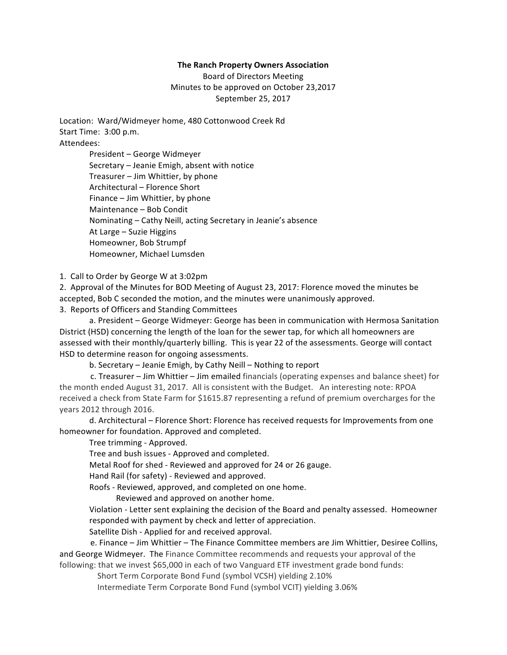## **The Ranch Property Owners Association**

Board of Directors Meeting Minutes to be approved on October 23,2017 September 25, 2017

Location: Ward/Widmeyer home, 480 Cottonwood Creek Rd Start Time: 3:00 p.m. Attendees:

> President – George Widmeyer Secretary – Jeanie Emigh, absent with notice Treasurer – Jim Whittier, by phone Architectural – Florence Short Finance – Jim Whittier, by phone Maintenance – Bob Condit Nominating – Cathy Neill, acting Secretary in Jeanie's absence At Large – Suzie Higgins Homeowner, Bob Strumpf Homeowner, Michael Lumsden

1. Call to Order by George W at 3:02pm

2. Approval of the Minutes for BOD Meeting of August 23, 2017: Florence moved the minutes be accepted, Bob C seconded the motion, and the minutes were unanimously approved. 3. Reports of Officers and Standing Committees

a. President – George Widmeyer: George has been in communication with Hermosa Sanitation District (HSD) concerning the length of the loan for the sewer tap, for which all homeowners are assessed with their monthly/quarterly billing. This is year 22 of the assessments. George will contact HSD to determine reason for ongoing assessments.

b. Secretary – Jeanie Emigh, by Cathy Neill – Nothing to report

 c. Treasurer – Jim Whittier – Jim emailed financials (operating expenses and balance sheet) for the month ended August 31, 2017. All is consistent with the Budget. An interesting note: RPOA received a check from State Farm for \$1615.87 representing a refund of premium overcharges for the years 2012 through 2016.

d. Architectural – Florence Short: Florence has received requests for Improvements from one homeowner for foundation. Approved and completed.

Tree trimming - Approved.

Tree and bush issues - Approved and completed.

Metal Roof for shed - Reviewed and approved for 24 or 26 gauge.

Hand Rail (for safety) - Reviewed and approved.

Roofs - Reviewed, approved, and completed on one home.

 Reviewed and approved on another home.

Violation - Letter sent explaining the decision of the Board and penalty assessed. Homeowner responded with payment by check and letter of appreciation.

Satellite Dish - Applied for and received approval.

 e. Finance – Jim Whittier – The Finance Committee members are Jim Whittier, Desiree Collins, and George Widmeyer. The Finance Committee recommends and requests your approval of the following: that we invest \$65,000 in each of two Vanguard ETF investment grade bond funds:

Short Term Corporate Bond Fund (symbol VCSH) yielding 2.10%

Intermediate Term Corporate Bond Fund (symbol VCIT) yielding 3.06%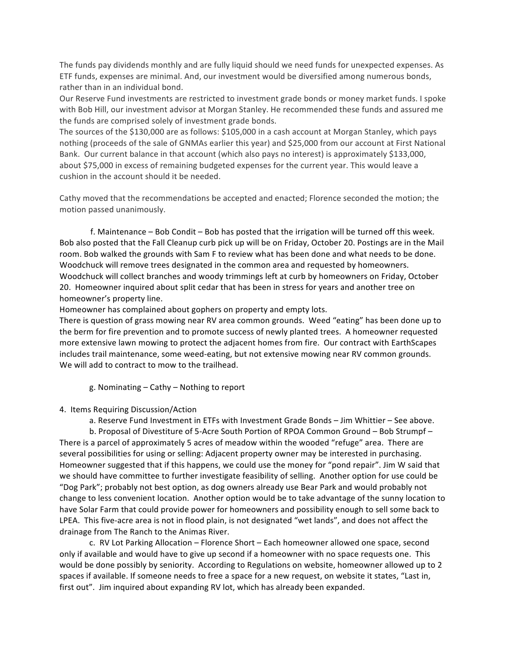The funds pay dividends monthly and are fully liquid should we need funds for unexpected expenses. As ETF funds, expenses are minimal. And, our investment would be diversified among numerous bonds, rather than in an individual bond.

Our Reserve Fund investments are restricted to investment grade bonds or money market funds. I spoke with Bob Hill, our investment advisor at Morgan Stanley. He recommended these funds and assured me the funds are comprised solely of investment grade bonds.

The sources of the \$130,000 are as follows: \$105,000 in a cash account at Morgan Stanley, which pays nothing (proceeds of the sale of GNMAs earlier this year) and \$25,000 from our account at First National Bank. Our current balance in that account (which also pays no interest) is approximately \$133,000, about \$75,000 in excess of remaining budgeted expenses for the current year. This would leave a cushion in the account should it be needed.

Cathy moved that the recommendations be accepted and enacted; Florence seconded the motion; the motion passed unanimously.

 f. Maintenance – Bob Condit – Bob has posted that the irrigation will be turned off this week. Bob also posted that the Fall Cleanup curb pick up will be on Friday, October 20. Postings are in the Mail room. Bob walked the grounds with Sam F to review what has been done and what needs to be done. Woodchuck will remove trees designated in the common area and requested by homeowners. Woodchuck will collect branches and woody trimmings left at curb by homeowners on Friday, October 20. Homeowner inquired about split cedar that has been in stress for years and another tree on homeowner's property line.

Homeowner has complained about gophers on property and empty lots.

There is question of grass mowing near RV area common grounds. Weed "eating" has been done up to the berm for fire prevention and to promote success of newly planted trees. A homeowner requested more extensive lawn mowing to protect the adjacent homes from fire. Our contract with EarthScapes includes trail maintenance, some weed-eating, but not extensive mowing near RV common grounds. We will add to contract to mow to the trailhead.

g. Nominating – Cathy – Nothing to report

## 4. Items Requiring Discussion/Action

a. Reserve Fund Investment in ETFs with Investment Grade Bonds – Jim Whittier – See above.

b. Proposal of Divestiture of 5-Acre South Portion of RPOA Common Ground – Bob Strumpf – There is a parcel of approximately 5 acres of meadow within the wooded "refuge" area. There are several possibilities for using or selling: Adjacent property owner may be interested in purchasing. Homeowner suggested that if this happens, we could use the money for "pond repair". Jim W said that we should have committee to further investigate feasibility of selling. Another option for use could be "Dog Park"; probably not best option, as dog owners already use Bear Park and would probably not change to less convenient location. Another option would be to take advantage of the sunny location to have Solar Farm that could provide power for homeowners and possibility enough to sell some back to LPEA. This five-acre area is not in flood plain, is not designated "wet lands", and does not affect the drainage from The Ranch to the Animas River.

c. RV Lot Parking Allocation – Florence Short – Each homeowner allowed one space, second only if available and would have to give up second if a homeowner with no space requests one. This would be done possibly by seniority. According to Regulations on website, homeowner allowed up to 2 spaces if available. If someone needs to free a space for a new request, on website it states, "Last in, first out". Jim inquired about expanding RV lot, which has already been expanded.